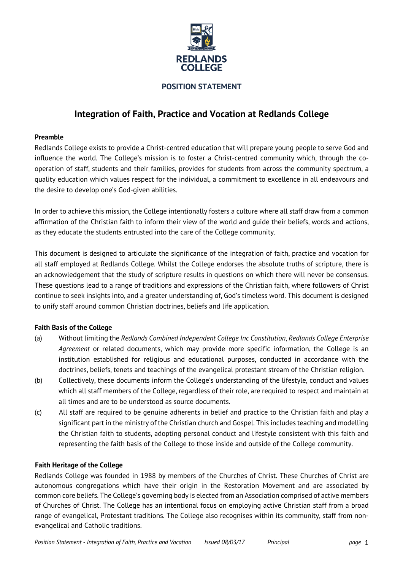

## **POSITION STATEMENT**

# **Integration of Faith, Practice and Vocation at Redlands College**

#### **Preamble**

Redlands College exists to provide a Christ-centred education that will prepare young people to serve God and influence the world. The College's mission is to foster a Christ-centred community which, through the cooperation of staff, students and their families, provides for students from across the community spectrum, a quality education which values respect for the individual, a commitment to excellence in all endeavours and the desire to develop one's God-given abilities.

In order to achieve this mission, the College intentionally fosters a culture where all staff draw from a common affirmation of the Christian faith to inform their view of the world and guide their beliefs, words and actions, as they educate the students entrusted into the care of the College community.

This document is designed to articulate the significance of the integration of faith, practice and vocation for all staff employed at Redlands College. Whilst the College endorses the absolute truths of scripture, there is an acknowledgement that the study of scripture results in questions on which there will never be consensus. These questions lead to a range of traditions and expressions of the Christian faith, where followers of Christ continue to seek insights into, and a greater understanding of, God's timeless word. This document is designed to unify staff around common Christian doctrines, beliefs and life application.

## **Faith Basis of the College**

- (a) Without limiting the *Redlands Combined Independent College Inc Constitution*, *Redlands College Enterprise Agreement* or related documents, which may provide more specific information, the College is an institution established for religious and educational purposes, conducted in accordance with the doctrines, beliefs, tenets and teachings of the evangelical protestant stream of the Christian religion.
- (b) Collectively, these documents inform the College's understanding of the lifestyle, conduct and values which all staff members of the College, regardless of their role, are required to respect and maintain at all times and are to be understood as source documents.
- (c) All staff are required to be genuine adherents in belief and practice to the Christian faith and play a significant part in the ministry of the Christian church and Gospel. This includes teaching and modelling the Christian faith to students, adopting personal conduct and lifestyle consistent with this faith and representing the faith basis of the College to those inside and outside of the College community.

## **Faith Heritage of the College**

Redlands College was founded in 1988 by members of the Churches of Christ. These Churches of Christ are autonomous congregations which have their origin in the Restoration Movement and are associated by common core beliefs. The College's governing body is elected from an Association comprised of active members of Churches of Christ. The College has an intentional focus on employing active Christian staff from a broad range of evangelical, Protestant traditions. The College also recognises within its community, staff from nonevangelical and Catholic traditions.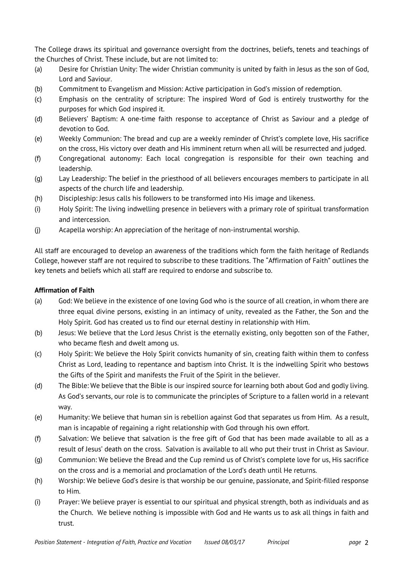The College draws its spiritual and governance oversight from the doctrines, beliefs, tenets and teachings of the Churches of Christ. These include, but are not limited to:

- (a) Desire for Christian Unity: The wider Christian community is united by faith in Jesus as the son of God, Lord and Saviour.
- (b) Commitment to Evangelism and Mission: Active participation in God's mission of redemption.
- (c) Emphasis on the centrality of scripture: The inspired Word of God is entirely trustworthy for the purposes for which God inspired it.
- (d) Believers' Baptism: A one-time faith response to acceptance of Christ as Saviour and a pledge of devotion to God.
- (e) Weekly Communion: The bread and cup are a weekly reminder of Christ's complete love, His sacrifice on the cross, His victory over death and His imminent return when all will be resurrected and judged.
- (f) Congregational autonomy: Each local congregation is responsible for their own teaching and leadership.
- (g) Lay Leadership: The belief in the priesthood of all believers encourages members to participate in all aspects of the church life and leadership.
- (h) Discipleship: Jesus calls his followers to be transformed into His image and likeness.
- (i) Holy Spirit: The living indwelling presence in believers with a primary role of spiritual transformation and intercession.
- (j) Acapella worship: An appreciation of the heritage of non-instrumental worship.

All staff are encouraged to develop an awareness of the traditions which form the faith heritage of Redlands College, however staff are not required to subscribe to these traditions. The "Affirmation of Faith" outlines the key tenets and beliefs which all staff are required to endorse and subscribe to.

# **Affirmation of Faith**

- (a) God: We believe in the existence of one loving God who is the source of all creation, in whom there are three equal divine persons, existing in an intimacy of unity, revealed as the Father, the Son and the Holy Spirit. God has created us to find our eternal destiny in relationship with Him.
- (b) Jesus: We believe that the Lord Jesus Christ is the eternally existing, only begotten son of the Father, who became flesh and dwelt among us.
- (c) Holy Spirit: We believe the Holy Spirit convicts humanity of sin, creating faith within them to confess Christ as Lord, leading to repentance and baptism into Christ. It is the indwelling Spirit who bestows the Gifts of the Spirit and manifests the Fruit of the Spirit in the believer.
- (d) The Bible: We believe that the Bible is our inspired source for learning both about God and godly living. As God's servants, our role is to communicate the principles of Scripture to a fallen world in a relevant way.
- (e) Humanity: We believe that human sin is rebellion against God that separates us from Him. As a result, man is incapable of regaining a right relationship with God through his own effort.
- (f) Salvation: We believe that salvation is the free gift of God that has been made available to all as a result of Jesus' death on the cross. Salvation is available to all who put their trust in Christ as Saviour.
- (g) Communion: We believe the Bread and the Cup remind us of Christ's complete love for us, His sacrifice on the cross and is a memorial and proclamation of the Lord's death until He returns.
- (h) Worship: We believe God's desire is that worship be our genuine, passionate, and Spirit-filled response to Him.
- (i) Prayer: We believe prayer is essential to our spiritual and physical strength, both as individuals and as the Church. We believe nothing is impossible with God and He wants us to ask all things in faith and trust.